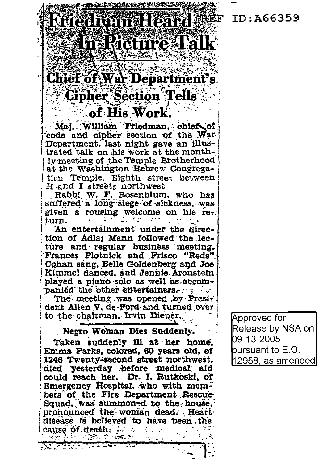Eriedman Heard SEF ID:A66359

## Chief of War Department's **Cipher Section Tells**

In Ricture Talk

## of His Work.

Maj. William Friedman, chief of code and cipher section of the War-Department, last night gave an illustrated talk on his work at the monthly meeting of the Temple Brotherhood at the Washington Hebrew Congregation Temple. Eighth street between H and I streets northwest.

Rabbi W. F. Rosenblum, who has suffered a long slege of sickness, was given a rousing welcome on his return.

An entertalnment under the direction of Adlai Mann followed the lecture and regular business meeting. Frances Plotnick and Frisco "Reds". Cohan sang, Belle Goldenberg and Joe Kimmel danced, and Jennie Aronstein. played a piano solo as well as accompanied the other entertainers.

The meeting was opened by President Allen V, de Ford and turned over to the chairman. Irvin Diener.

Negro Woman Dies Suddenly.

Taken suddenly ill at her home. Emma Parks, colored, 60 years old, of 1246 Twenty-second street northwest. died yesterday before medical aid could reach her. Dr. I. Rutkoski, of Emergency Hospital, who with members of the Fire Department Rescue-Squad, was summoned to the house. pronounced the woman dead. Heart disease is believed to have been thecause of death.  $\mathcal{L}^{\mathcal{A}}$  ,  $\mathcal{L}^{\mathcal{A}}$ r National Properties

Alban Marine

Approved for Release by NSA on 09-13-2005 pursuant to E.O. |12958, as amended|